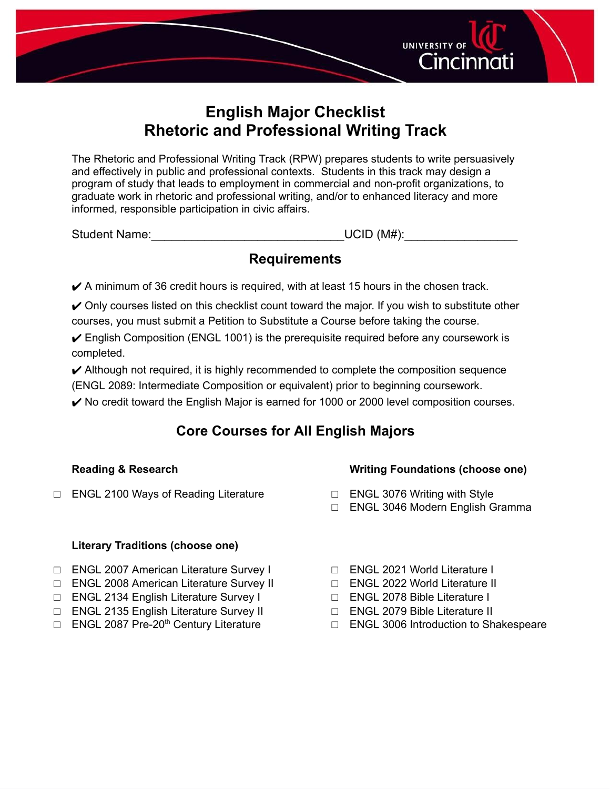

# **English Major Checklist Rhetoric and Professional Writing Track**

The Rhetoric and Professional Writing Track (RPW) prepares students to write persuasively and effectively in public and professional contexts. Students in this track may design a program of study that leads to employment in commercial and non-profit organizations, to graduate work in rhetoric and professional writing, and/or to enhanced literacy and more informed, responsible participation in civic affairs.

Student Name:\_\_\_\_\_\_\_\_\_\_\_\_\_\_\_\_\_\_\_\_\_\_\_\_\_\_\_\_\_UCID (M#):\_\_\_\_\_\_\_\_\_\_\_\_\_\_\_\_\_

## **Requirements**

 $\blacktriangleright$  A minimum of 36 credit hours is required, with at least 15 hours in the chosen track.

 $\vee$  Only courses listed on this checklist count toward the major. If you wish to substitute other courses, you must submit a Petition to Substitute a Course before taking the course.

 $\checkmark$  English Composition (ENGL 1001) is the prerequisite required before any coursework is completed.

 $\blacktriangleright$  Although not required, it is highly recommended to complete the composition sequence (ENGL 2089: Intermediate Composition or equivalent) prior to beginning coursework.

 $\blacktriangleright$  No credit toward the English Major is earned for 1000 or 2000 level composition courses.

# **Core Courses for All English Majors**

## **Reading & Research**

**Writing Foundations (choose one)**

- □ ENGL 2100 Ways of Reading Literature
- □ ENGL 3076 Writing with Style
- □ ENGL 3046 Modern English Gramma

## **Literary Traditions (choose one)**

- □ ENGL 2007 American Literature Survey I
- □ ENGL 2008 American Literature Survey II
- □ ENGL 2134 English Literature Survey I
- □ ENGL 2135 English Literature Survey II
- □ ENGL 2087 Pre-20<sup>th</sup> Century Literature
- □ ENGL 2021 World Literature I
- □ ENGL 2022 World Literature II
- □ ENGL 2078 Bible Literature I
- □ ENGL 2079 Bible Literature II
- □ ENGL 3006 Introduction to Shakespeare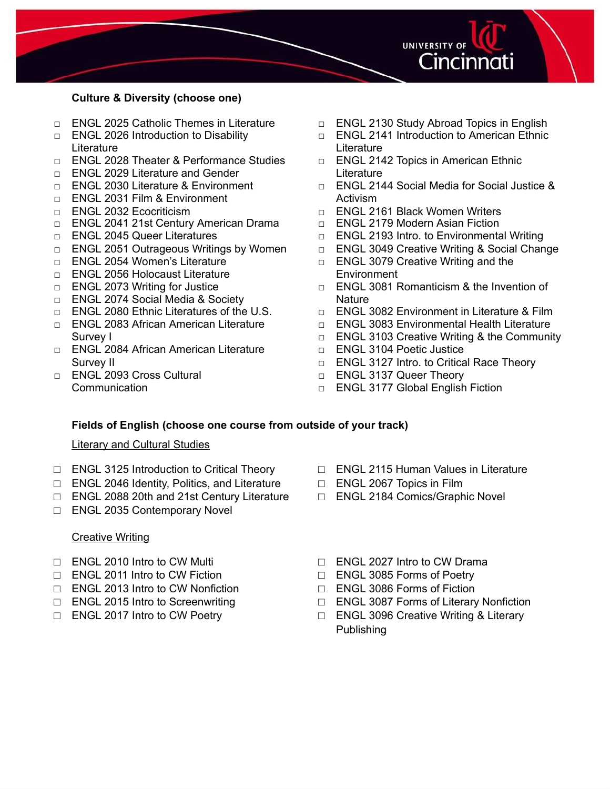

#### **Culture & Diversity (choose one)**

- □ ENGL 2025 Catholic Themes in Literature
- □ ENGL 2026 Introduction to Disability **Literature**
- □ ENGL 2028 Theater & Performance Studies
- □ ENGL 2029 Literature and Gender
- □ ENGL 2030 Literature & Environment
- □ ENGL 2031 Film & Environment
- □ ENGL 2032 Ecocriticism
- □ ENGL 2041 21st Century American Drama
- □ ENGL 2045 Queer Literatures
- □ ENGL 2051 Outrageous Writings by Women
- □ ENGL 2054 Women's Literature
- □ ENGL 2056 Holocaust Literature
- □ ENGL 2073 Writing for Justice
- □ ENGL 2074 Social Media & Society
- □ ENGL 2080 Ethnic Literatures of the U.S.
- □ ENGL 2083 African American Literature Survey I
- □ ENGL 2084 African American Literature Survey II
- □ ENGL 2093 Cross Cultural Communication
- □ ENGL 2130 Study Abroad Topics in English
- □ ENGL 2141 Introduction to American Ethnic **Literature**
- □ ENGL 2142 Topics in American Ethnic Literature
- □ ENGL 2144 Social Media for Social Justice & Activism
- □ ENGL 2161 Black Women Writers
- □ ENGL 2179 Modern Asian Fiction
- □ ENGL 2193 Intro. to Environmental Writing
- □ ENGL 3049 Creative Writing & Social Change
- □ ENGL 3079 Creative Writing and the **Environment**
- $\Box$  ENGL 3081 Romanticism & the Invention of **Nature**
- □ ENGL 3082 Environment in Literature & Film
- □ ENGL 3083 Environmental Health Literature
- □ ENGL 3103 Creative Writing & the Community
- □ ENGL 3104 Poetic Justice
- □ ENGL 3127 Intro. to Critical Race Theory
- □ ENGL 3137 Queer Theory
- □ ENGL 3177 Global English Fiction

#### **Fields of English (choose one course from outside of your track)**

#### Literary and Cultural Studies

- □ ENGL 3125 Introduction to Critical Theory
- □ ENGL 2046 Identity, Politics, and Literature
- □ ENGL 2088 20th and 21st Century Literature
- □ ENGL 2035 Contemporary Novel

#### **Creative Writing**

- □ ENGL 2010 Intro to CW Multi
- □ ENGL 2011 Intro to CW Fiction
- □ ENGL 2013 Intro to CW Nonfiction
- □ ENGL 2015 Intro to Screenwriting
- □ ENGL 2017 Intro to CW Poetry
- □ ENGL 2115 Human Values in Literature
- □ ENGL 2067 Topics in Film
- □ ENGL 2184 Comics/Graphic Novel
- □ ENGL 2027 Intro to CW Drama
- □ ENGL 3085 Forms of Poetry
- □ ENGL 3086 Forms of Fiction
- □ ENGL 3087 Forms of Literary Nonfiction
- □ ENGL 3096 Creative Writing & Literary Publishing